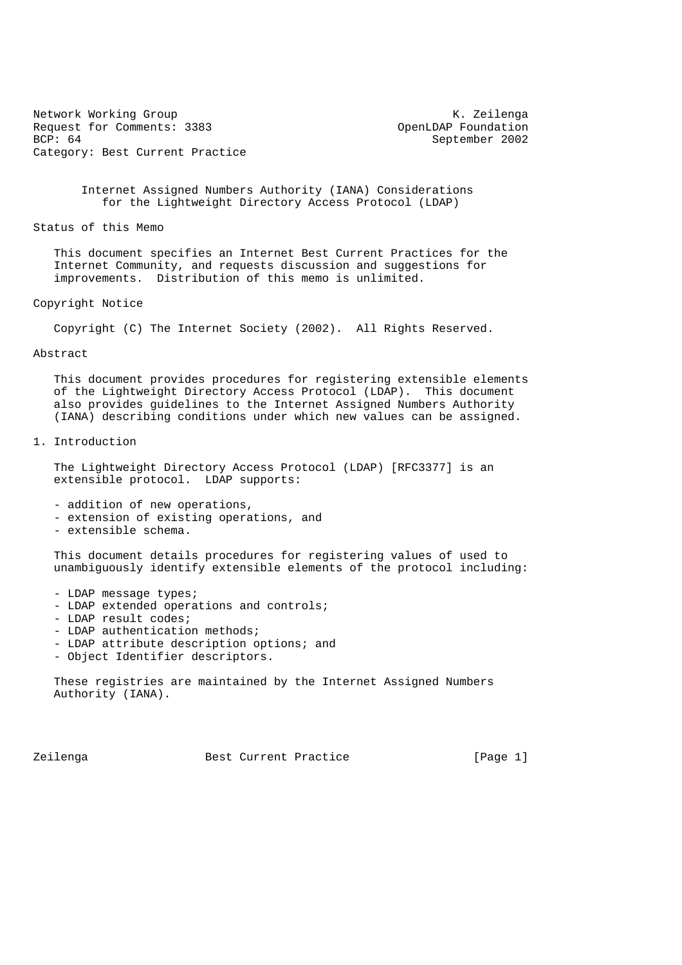Network Working Group<br>Request for Comments: 3383 (Network of Comments: 3383 (Network of Comments: 3383 (Network of Comments) Request for Comments: 3383<br>BCP: 64 Category: Best Current Practice

September 2002

 Internet Assigned Numbers Authority (IANA) Considerations for the Lightweight Directory Access Protocol (LDAP)

Status of this Memo

 This document specifies an Internet Best Current Practices for the Internet Community, and requests discussion and suggestions for improvements. Distribution of this memo is unlimited.

Copyright Notice

Copyright (C) The Internet Society (2002). All Rights Reserved.

Abstract

 This document provides procedures for registering extensible elements of the Lightweight Directory Access Protocol (LDAP). This document also provides guidelines to the Internet Assigned Numbers Authority (IANA) describing conditions under which new values can be assigned.

1. Introduction

 The Lightweight Directory Access Protocol (LDAP) [RFC3377] is an extensible protocol. LDAP supports:

- addition of new operations,
- extension of existing operations, and
- extensible schema.

 This document details procedures for registering values of used to unambiguously identify extensible elements of the protocol including:

- LDAP message types;
- LDAP extended operations and controls;
- LDAP result codes;
- LDAP authentication methods;
- LDAP attribute description options; and
- Object Identifier descriptors.

 These registries are maintained by the Internet Assigned Numbers Authority (IANA).

Zeilenga Best Current Practice [Page 1]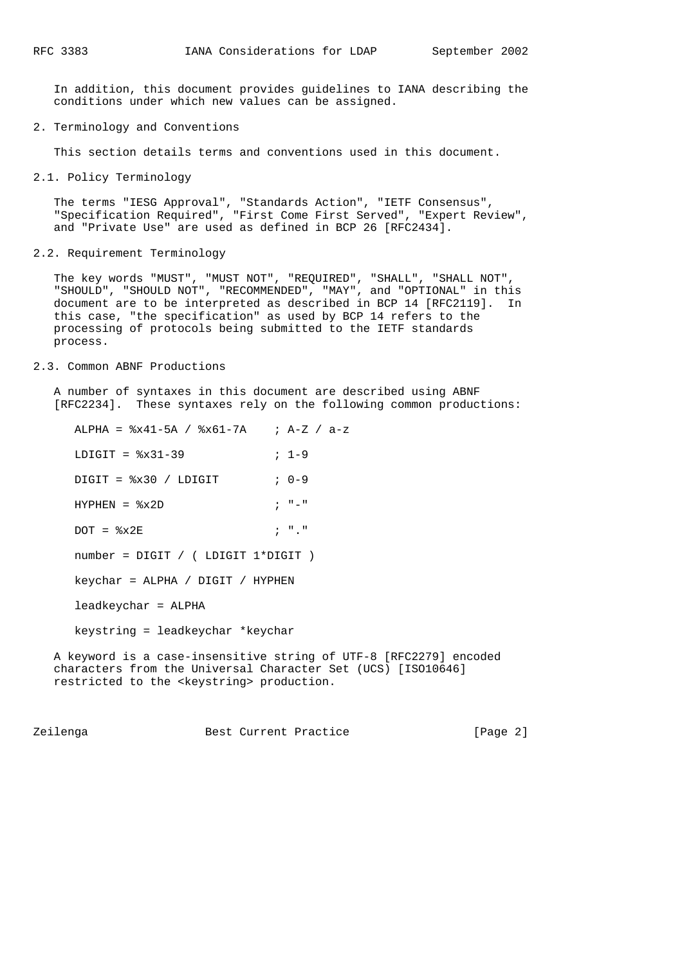In addition, this document provides guidelines to IANA describing the conditions under which new values can be assigned.

2. Terminology and Conventions

This section details terms and conventions used in this document.

2.1. Policy Terminology

 The terms "IESG Approval", "Standards Action", "IETF Consensus", "Specification Required", "First Come First Served", "Expert Review", and "Private Use" are used as defined in BCP 26 [RFC2434].

2.2. Requirement Terminology

 The key words "MUST", "MUST NOT", "REQUIRED", "SHALL", "SHALL NOT", "SHOULD", "SHOULD NOT", "RECOMMENDED", "MAY", and "OPTIONAL" in this document are to be interpreted as described in BCP 14 [RFC2119]. In this case, "the specification" as used by BCP 14 refers to the processing of protocols being submitted to the IETF standards process.

## 2.3. Common ABNF Productions

 A number of syntaxes in this document are described using ABNF [RFC2234]. These syntaxes rely on the following common productions:

 ALPHA = %x41-5A / %x61-7A ; A-Z / a-z  $LDIGIT =  $\frac{2}{3} \times 31 - 39$  ;  $1-9$$  DIGIT = %x30 / LDIGIT ; 0-9  $HYPHEN =  $\frac{2}{3} \times 2D$$  ; "-"  $DOT =  $\frac{2}{3} \times 2E$$  ; "." number = DIGIT / ( LDIGIT 1\*DIGIT ) keychar = ALPHA / DIGIT / HYPHEN leadkeychar = ALPHA keystring = leadkeychar \*keychar

 A keyword is a case-insensitive string of UTF-8 [RFC2279] encoded characters from the Universal Character Set (UCS) [ISO10646] restricted to the <keystring> production.

Zeilenga Best Current Practice [Page 2]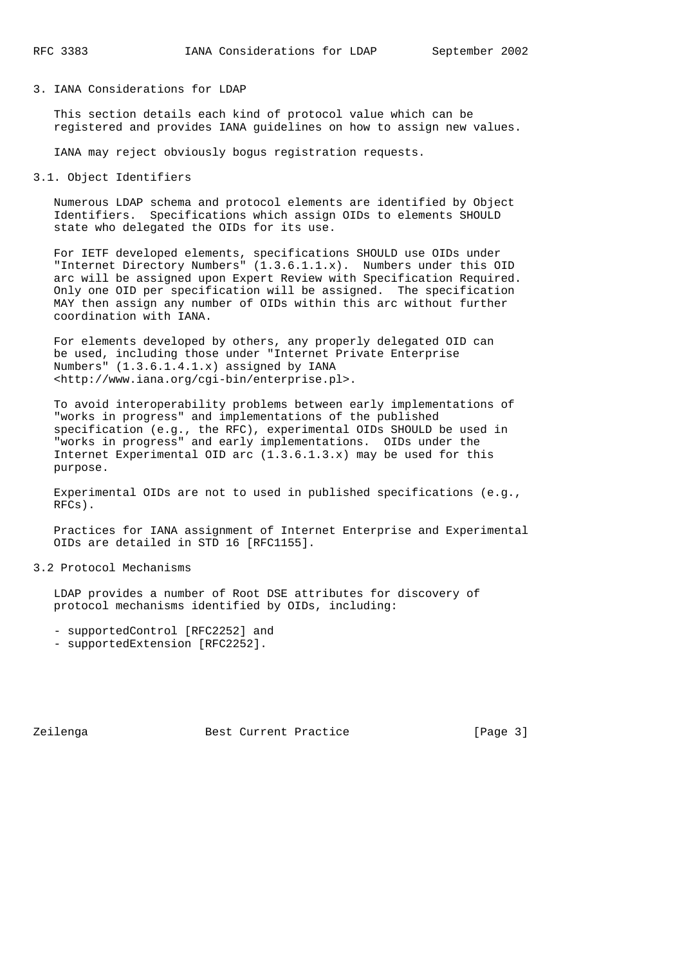## 3. IANA Considerations for LDAP

 This section details each kind of protocol value which can be registered and provides IANA guidelines on how to assign new values.

IANA may reject obviously bogus registration requests.

3.1. Object Identifiers

 Numerous LDAP schema and protocol elements are identified by Object Identifiers. Specifications which assign OIDs to elements SHOULD state who delegated the OIDs for its use.

 For IETF developed elements, specifications SHOULD use OIDs under "Internet Directory Numbers" (1.3.6.1.1.x). Numbers under this OID arc will be assigned upon Expert Review with Specification Required. Only one OID per specification will be assigned. The specification MAY then assign any number of OIDs within this arc without further coordination with IANA.

 For elements developed by others, any properly delegated OID can be used, including those under "Internet Private Enterprise Numbers" (1.3.6.1.4.1.x) assigned by IANA <http://www.iana.org/cgi-bin/enterprise.pl>.

 To avoid interoperability problems between early implementations of "works in progress" and implementations of the published specification (e.g., the RFC), experimental OIDs SHOULD be used in "works in progress" and early implementations. OIDs under the Internet Experimental OID arc  $(1.3.6.1.3.x)$  may be used for this purpose.

 Experimental OIDs are not to used in published specifications (e.g., RFCs).

 Practices for IANA assignment of Internet Enterprise and Experimental OIDs are detailed in STD 16 [RFC1155].

## 3.2 Protocol Mechanisms

 LDAP provides a number of Root DSE attributes for discovery of protocol mechanisms identified by OIDs, including:

- supportedControl [RFC2252] and
- supportedExtension [RFC2252].

Zeilenga Best Current Practice [Page 3]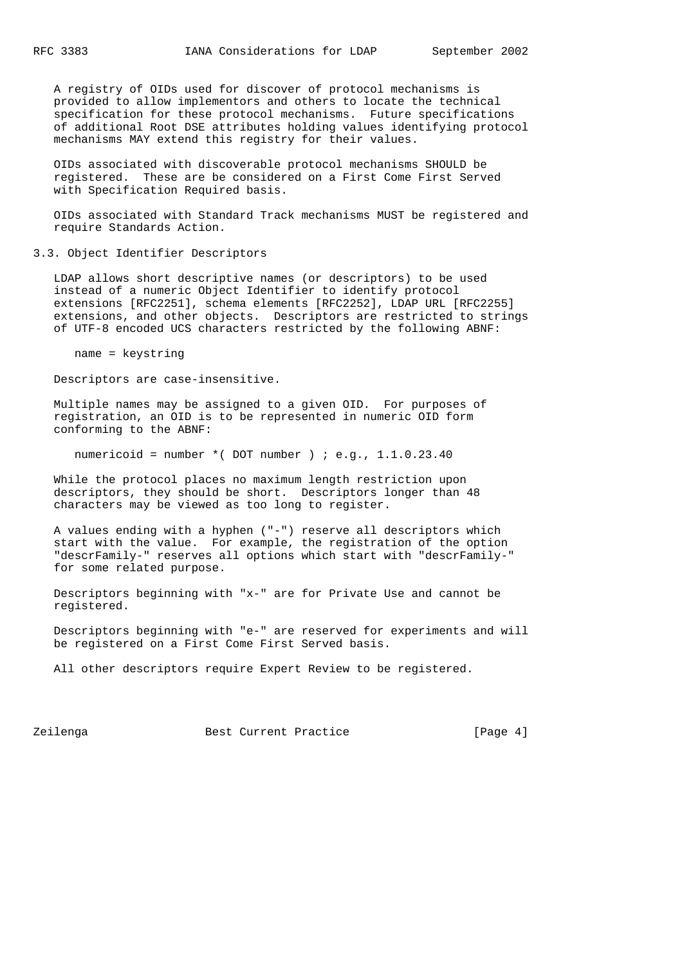A registry of OIDs used for discover of protocol mechanisms is provided to allow implementors and others to locate the technical specification for these protocol mechanisms. Future specifications of additional Root DSE attributes holding values identifying protocol mechanisms MAY extend this registry for their values.

 OIDs associated with discoverable protocol mechanisms SHOULD be registered. These are be considered on a First Come First Served with Specification Required basis.

 OIDs associated with Standard Track mechanisms MUST be registered and require Standards Action.

## 3.3. Object Identifier Descriptors

 LDAP allows short descriptive names (or descriptors) to be used instead of a numeric Object Identifier to identify protocol extensions [RFC2251], schema elements [RFC2252], LDAP URL [RFC2255] extensions, and other objects. Descriptors are restricted to strings of UTF-8 encoded UCS characters restricted by the following ABNF:

name = keystring

Descriptors are case-insensitive.

 Multiple names may be assigned to a given OID. For purposes of registration, an OID is to be represented in numeric OID form conforming to the ABNF:

numericoid = number  $*($  DOT number  $)$  ; e.g., 1.1.0.23.40

 While the protocol places no maximum length restriction upon descriptors, they should be short. Descriptors longer than 48 characters may be viewed as too long to register.

 A values ending with a hyphen ("-") reserve all descriptors which start with the value. For example, the registration of the option "descrFamily-" reserves all options which start with "descrFamily-" for some related purpose.

 Descriptors beginning with "x-" are for Private Use and cannot be registered.

 Descriptors beginning with "e-" are reserved for experiments and will be registered on a First Come First Served basis.

All other descriptors require Expert Review to be registered.

Zeilenga Best Current Practice and The Rest Current Practice and The Research (Page 4)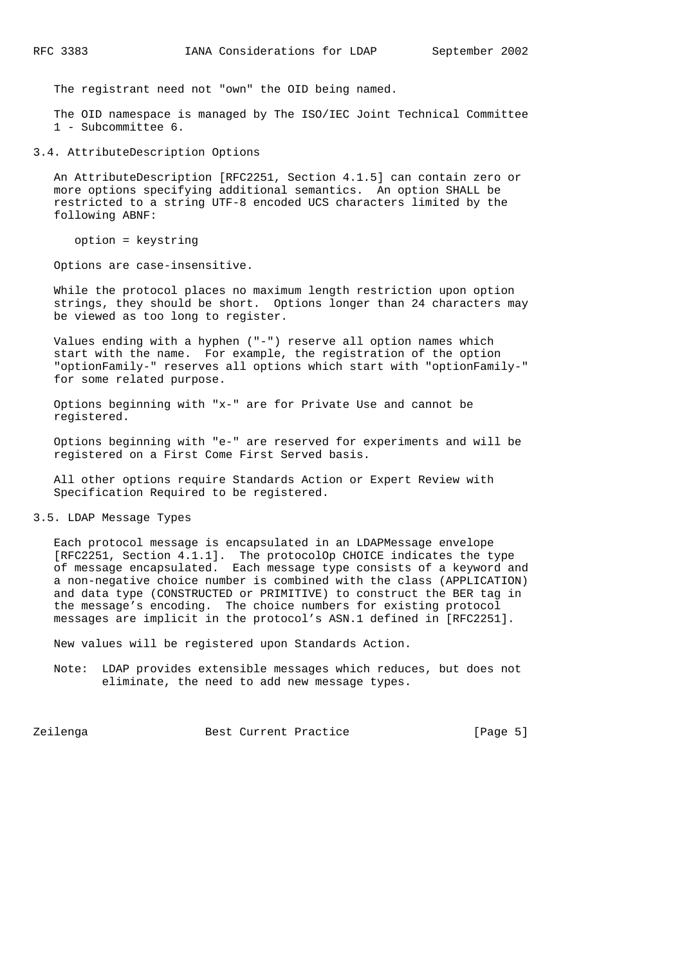The registrant need not "own" the OID being named.

 The OID namespace is managed by The ISO/IEC Joint Technical Committee 1 - Subcommittee 6.

3.4. AttributeDescription Options

 An AttributeDescription [RFC2251, Section 4.1.5] can contain zero or more options specifying additional semantics. An option SHALL be restricted to a string UTF-8 encoded UCS characters limited by the following ABNF:

option = keystring

Options are case-insensitive.

 While the protocol places no maximum length restriction upon option strings, they should be short. Options longer than 24 characters may be viewed as too long to register.

 Values ending with a hyphen ("-") reserve all option names which start with the name. For example, the registration of the option "optionFamily-" reserves all options which start with "optionFamily-" for some related purpose.

 Options beginning with "x-" are for Private Use and cannot be registered.

 Options beginning with "e-" are reserved for experiments and will be registered on a First Come First Served basis.

 All other options require Standards Action or Expert Review with Specification Required to be registered.

3.5. LDAP Message Types

 Each protocol message is encapsulated in an LDAPMessage envelope [RFC2251, Section 4.1.1]. The protocolOp CHOICE indicates the type of message encapsulated. Each message type consists of a keyword and a non-negative choice number is combined with the class (APPLICATION) and data type (CONSTRUCTED or PRIMITIVE) to construct the BER tag in the message's encoding. The choice numbers for existing protocol messages are implicit in the protocol's ASN.1 defined in [RFC2251].

New values will be registered upon Standards Action.

 Note: LDAP provides extensible messages which reduces, but does not eliminate, the need to add new message types.

Zeilenga Best Current Practice (Page 5)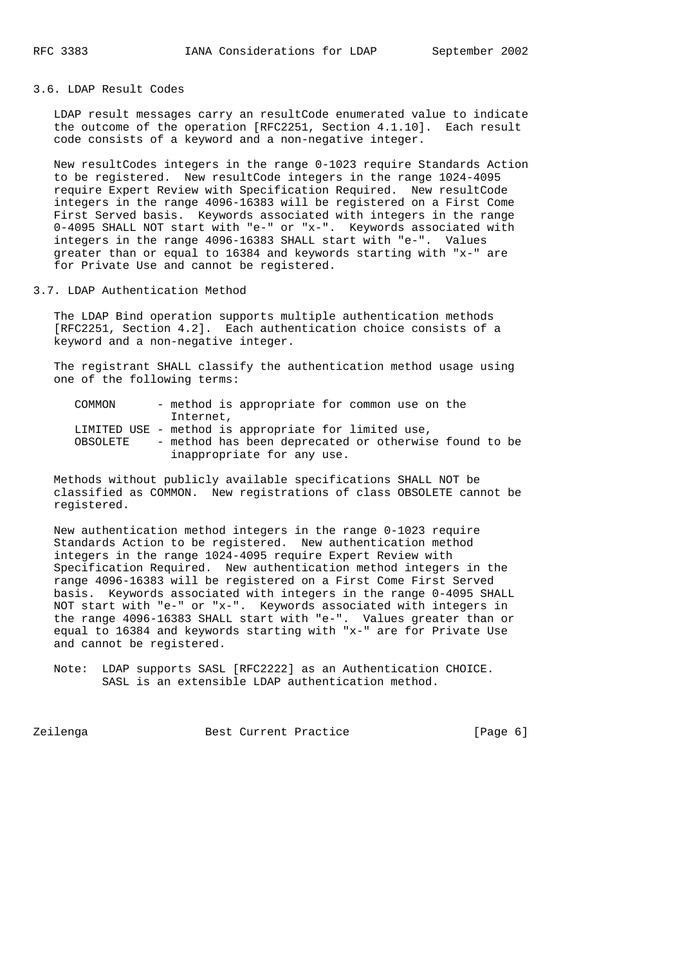3.6. LDAP Result Codes

 LDAP result messages carry an resultCode enumerated value to indicate the outcome of the operation [RFC2251, Section 4.1.10]. Each result code consists of a keyword and a non-negative integer.

 New resultCodes integers in the range 0-1023 require Standards Action to be registered. New resultCode integers in the range 1024-4095 require Expert Review with Specification Required. New resultCode integers in the range 4096-16383 will be registered on a First Come First Served basis. Keywords associated with integers in the range 0-4095 SHALL NOT start with "e-" or "x-". Keywords associated with integers in the range 4096-16383 SHALL start with "e-". Values greater than or equal to 16384 and keywords starting with "x-" are for Private Use and cannot be registered.

3.7. LDAP Authentication Method

 The LDAP Bind operation supports multiple authentication methods [RFC2251, Section 4.2]. Each authentication choice consists of a keyword and a non-negative integer.

 The registrant SHALL classify the authentication method usage using one of the following terms:

| COMMON                                               |           | - method is appropriate for common use on the         |  |  |  |
|------------------------------------------------------|-----------|-------------------------------------------------------|--|--|--|
|                                                      | Internet, |                                                       |  |  |  |
| LIMITED USE - method is appropriate for limited use, |           |                                                       |  |  |  |
| OBSOLETE                                             |           | - method has been deprecated or otherwise found to be |  |  |  |
|                                                      |           | inappropriate for any use.                            |  |  |  |

 Methods without publicly available specifications SHALL NOT be classified as COMMON. New registrations of class OBSOLETE cannot be registered.

 New authentication method integers in the range 0-1023 require Standards Action to be registered. New authentication method integers in the range 1024-4095 require Expert Review with Specification Required. New authentication method integers in the range 4096-16383 will be registered on a First Come First Served basis. Keywords associated with integers in the range 0-4095 SHALL NOT start with "e-" or "x-". Keywords associated with integers in the range 4096-16383 SHALL start with "e-". Values greater than or equal to 16384 and keywords starting with "x-" are for Private Use and cannot be registered.

 Note: LDAP supports SASL [RFC2222] as an Authentication CHOICE. SASL is an extensible LDAP authentication method.

Zeilenga Best Current Practice (Page 6)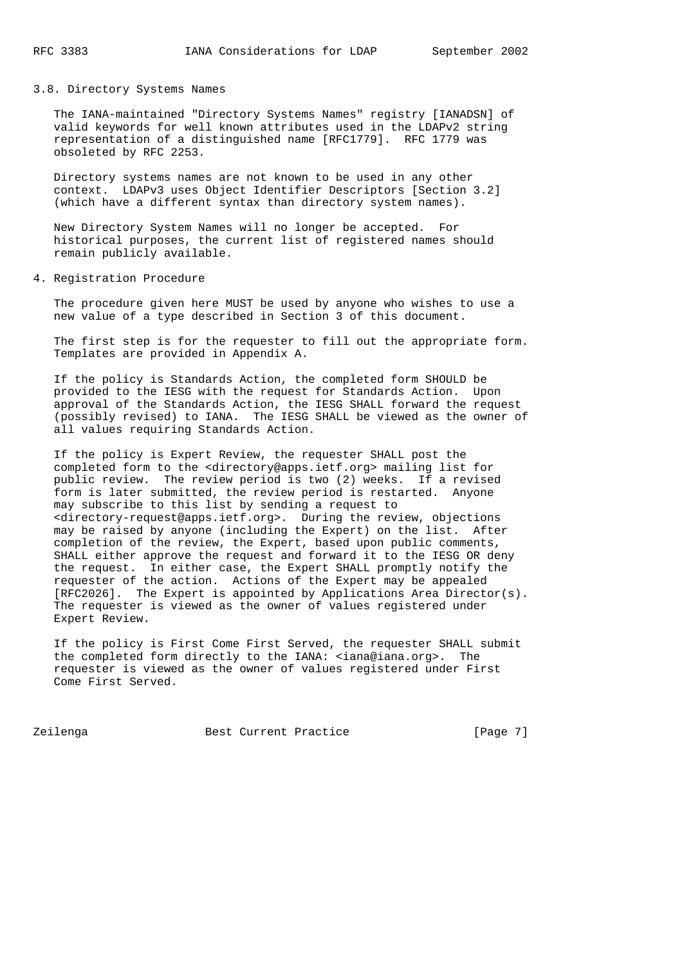## 3.8. Directory Systems Names

 The IANA-maintained "Directory Systems Names" registry [IANADSN] of valid keywords for well known attributes used in the LDAPv2 string representation of a distinguished name [RFC1779]. RFC 1779 was obsoleted by RFC 2253.

 Directory systems names are not known to be used in any other context. LDAPv3 uses Object Identifier Descriptors [Section 3.2] (which have a different syntax than directory system names).

 New Directory System Names will no longer be accepted. For historical purposes, the current list of registered names should remain publicly available.

## 4. Registration Procedure

 The procedure given here MUST be used by anyone who wishes to use a new value of a type described in Section 3 of this document.

 The first step is for the requester to fill out the appropriate form. Templates are provided in Appendix A.

 If the policy is Standards Action, the completed form SHOULD be provided to the IESG with the request for Standards Action. Upon approval of the Standards Action, the IESG SHALL forward the request (possibly revised) to IANA. The IESG SHALL be viewed as the owner of all values requiring Standards Action.

 If the policy is Expert Review, the requester SHALL post the completed form to the <directory@apps.ietf.org> mailing list for public review. The review period is two (2) weeks. If a revised form is later submitted, the review period is restarted. Anyone may subscribe to this list by sending a request to <directory-request@apps.ietf.org>. During the review, objections may be raised by anyone (including the Expert) on the list. After completion of the review, the Expert, based upon public comments, SHALL either approve the request and forward it to the IESG OR deny the request. In either case, the Expert SHALL promptly notify the requester of the action. Actions of the Expert may be appealed [RFC2026]. The Expert is appointed by Applications Area Director(s). The requester is viewed as the owner of values registered under Expert Review.

 If the policy is First Come First Served, the requester SHALL submit the completed form directly to the IANA: <iana@iana.org>. The requester is viewed as the owner of values registered under First Come First Served.

Zeilenga **Best Current Practice Best Current Practice Exercise** [Page 7]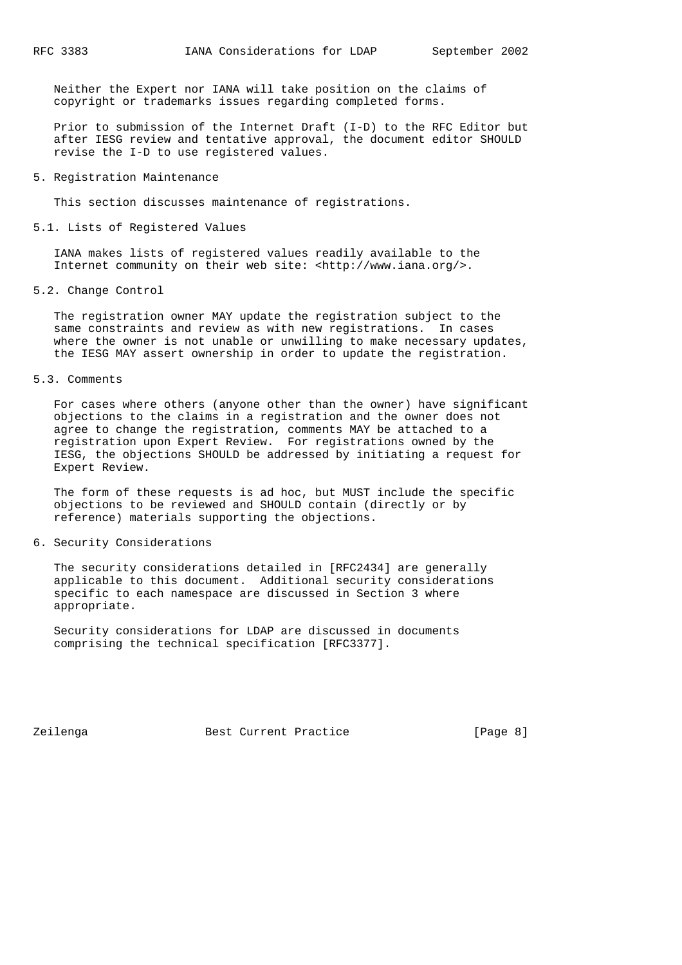Neither the Expert nor IANA will take position on the claims of copyright or trademarks issues regarding completed forms.

 Prior to submission of the Internet Draft (I-D) to the RFC Editor but after IESG review and tentative approval, the document editor SHOULD revise the I-D to use registered values.

## 5. Registration Maintenance

This section discusses maintenance of registrations.

#### 5.1. Lists of Registered Values

 IANA makes lists of registered values readily available to the Internet community on their web site: <http://www.iana.org/>.

## 5.2. Change Control

 The registration owner MAY update the registration subject to the same constraints and review as with new registrations. In cases where the owner is not unable or unwilling to make necessary updates, the IESG MAY assert ownership in order to update the registration.

#### 5.3. Comments

 For cases where others (anyone other than the owner) have significant objections to the claims in a registration and the owner does not agree to change the registration, comments MAY be attached to a registration upon Expert Review. For registrations owned by the IESG, the objections SHOULD be addressed by initiating a request for Expert Review.

 The form of these requests is ad hoc, but MUST include the specific objections to be reviewed and SHOULD contain (directly or by reference) materials supporting the objections.

#### 6. Security Considerations

 The security considerations detailed in [RFC2434] are generally applicable to this document. Additional security considerations specific to each namespace are discussed in Section 3 where appropriate.

 Security considerations for LDAP are discussed in documents comprising the technical specification [RFC3377].

Zeilenga Best Current Practice **Example 2** [Page 8]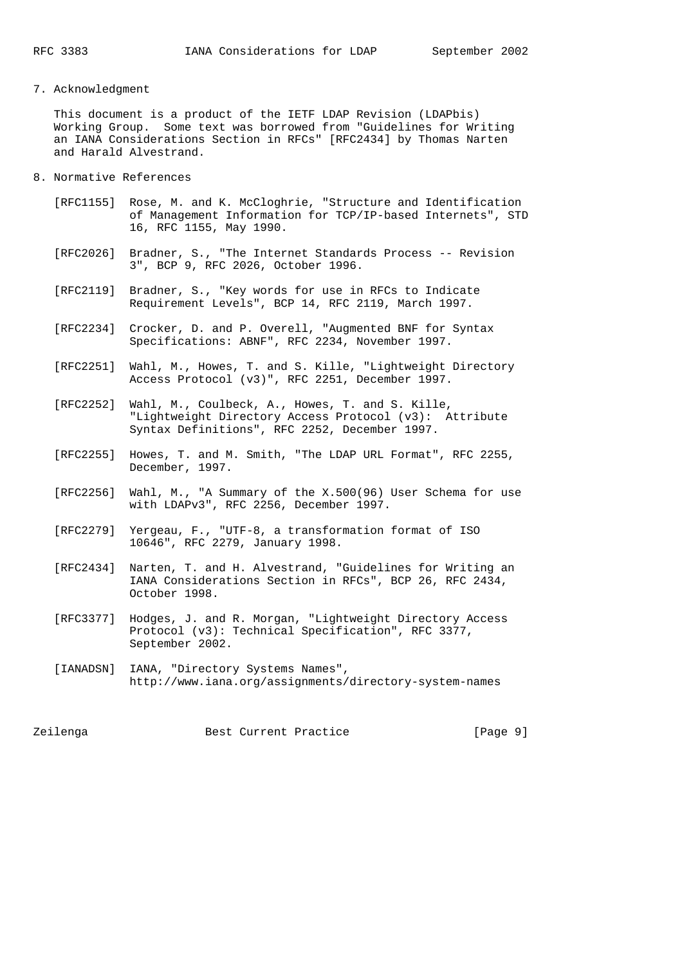## 7. Acknowledgment

 This document is a product of the IETF LDAP Revision (LDAPbis) Working Group. Some text was borrowed from "Guidelines for Writing an IANA Considerations Section in RFCs" [RFC2434] by Thomas Narten and Harald Alvestrand.

- 8. Normative References
	- [RFC1155] Rose, M. and K. McCloghrie, "Structure and Identification of Management Information for TCP/IP-based Internets", STD 16, RFC 1155, May 1990.
	- [RFC2026] Bradner, S., "The Internet Standards Process -- Revision 3", BCP 9, RFC 2026, October 1996.
	- [RFC2119] Bradner, S., "Key words for use in RFCs to Indicate Requirement Levels", BCP 14, RFC 2119, March 1997.
	- [RFC2234] Crocker, D. and P. Overell, "Augmented BNF for Syntax Specifications: ABNF", RFC 2234, November 1997.
- [RFC2251] Wahl, M., Howes, T. and S. Kille, "Lightweight Directory Access Protocol (v3)", RFC 2251, December 1997.
	- [RFC2252] Wahl, M., Coulbeck, A., Howes, T. and S. Kille, "Lightweight Directory Access Protocol (v3): Attribute Syntax Definitions", RFC 2252, December 1997.
	- [RFC2255] Howes, T. and M. Smith, "The LDAP URL Format", RFC 2255, December, 1997.
	- [RFC2256] Wahl, M., "A Summary of the X.500(96) User Schema for use with LDAPv3", RFC 2256, December 1997.
	- [RFC2279] Yergeau, F., "UTF-8, a transformation format of ISO 10646", RFC 2279, January 1998.
	- [RFC2434] Narten, T. and H. Alvestrand, "Guidelines for Writing an IANA Considerations Section in RFCs", BCP 26, RFC 2434, October 1998.
	- [RFC3377] Hodges, J. and R. Morgan, "Lightweight Directory Access Protocol (v3): Technical Specification", RFC 3377, September 2002.
	- [IANADSN] IANA, "Directory Systems Names", http://www.iana.org/assignments/directory-system-names

Zeilenga Best Current Practice and The Reserve Best Current Practice and Reserve [Page 9]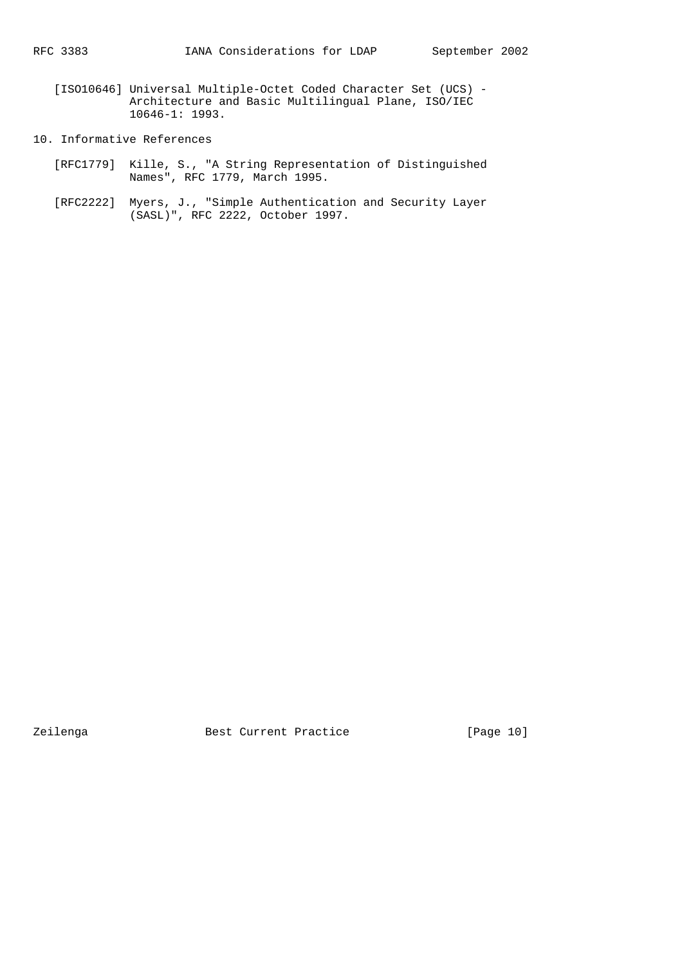- [ISO10646] Universal Multiple-Octet Coded Character Set (UCS) Architecture and Basic Multilingual Plane, ISO/IEC 10646-1: 1993.
- 10. Informative References
- [RFC1779] Kille, S., "A String Representation of Distinguished Names", RFC 1779, March 1995.
	- [RFC2222] Myers, J., "Simple Authentication and Security Layer (SASL)", RFC 2222, October 1997.

Zeilenga Best Current Practice [Page 10]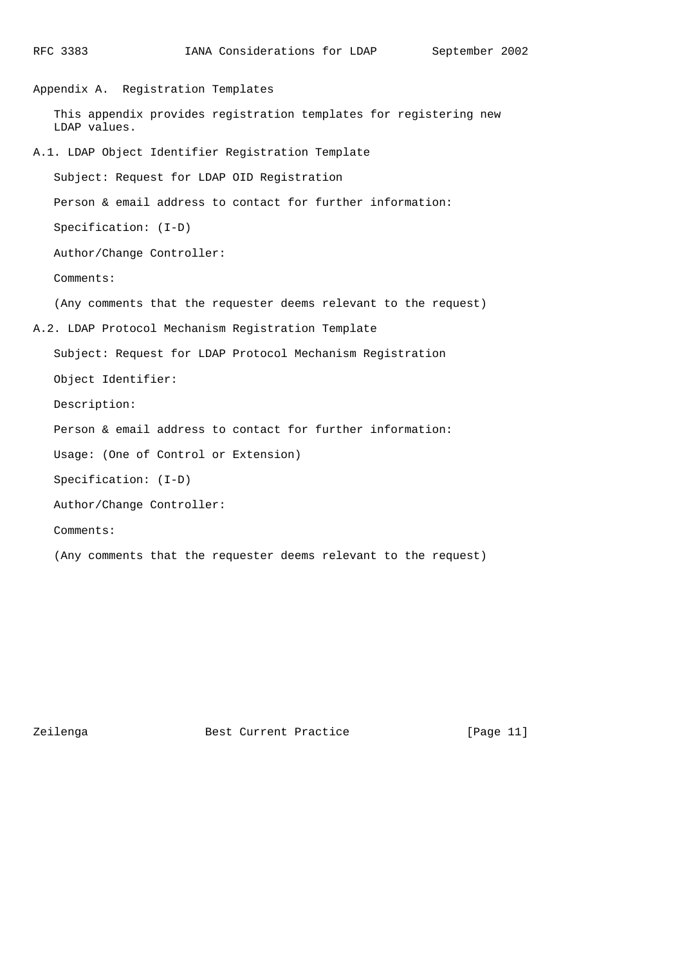```
RFC 3383 IANA Considerations for LDAP September 2002
Appendix A. Registration Templates
    This appendix provides registration templates for registering new
    LDAP values.
A.1. LDAP Object Identifier Registration Template
    Subject: Request for LDAP OID Registration
    Person & email address to contact for further information:
    Specification: (I-D)
    Author/Change Controller:
    Comments:
    (Any comments that the requester deems relevant to the request)
A.2. LDAP Protocol Mechanism Registration Template
    Subject: Request for LDAP Protocol Mechanism Registration
    Object Identifier:
    Description:
    Person & email address to contact for further information:
    Usage: (One of Control or Extension)
    Specification: (I-D)
    Author/Change Controller:
    Comments:
    (Any comments that the requester deems relevant to the request)
```
Zeilenga **Best Current Practice** [Page 11]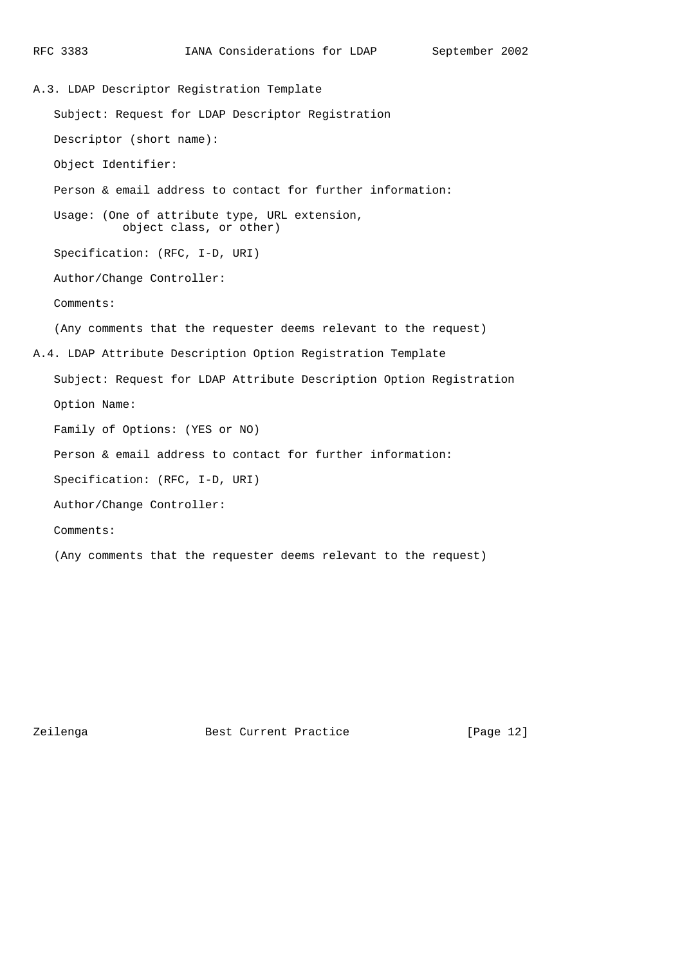```
RFC 3383 IANA Considerations for LDAP September 2002
A.3. LDAP Descriptor Registration Template
    Subject: Request for LDAP Descriptor Registration
    Descriptor (short name):
    Object Identifier:
    Person & email address to contact for further information:
    Usage: (One of attribute type, URL extension,
             object class, or other)
    Specification: (RFC, I-D, URI)
    Author/Change Controller:
    Comments:
    (Any comments that the requester deems relevant to the request)
A.4. LDAP Attribute Description Option Registration Template
    Subject: Request for LDAP Attribute Description Option Registration
    Option Name:
    Family of Options: (YES or NO)
    Person & email address to contact for further information:
    Specification: (RFC, I-D, URI)
    Author/Change Controller:
    Comments:
    (Any comments that the requester deems relevant to the request)
```
Zeilenga **Best Current Practice** [Page 12]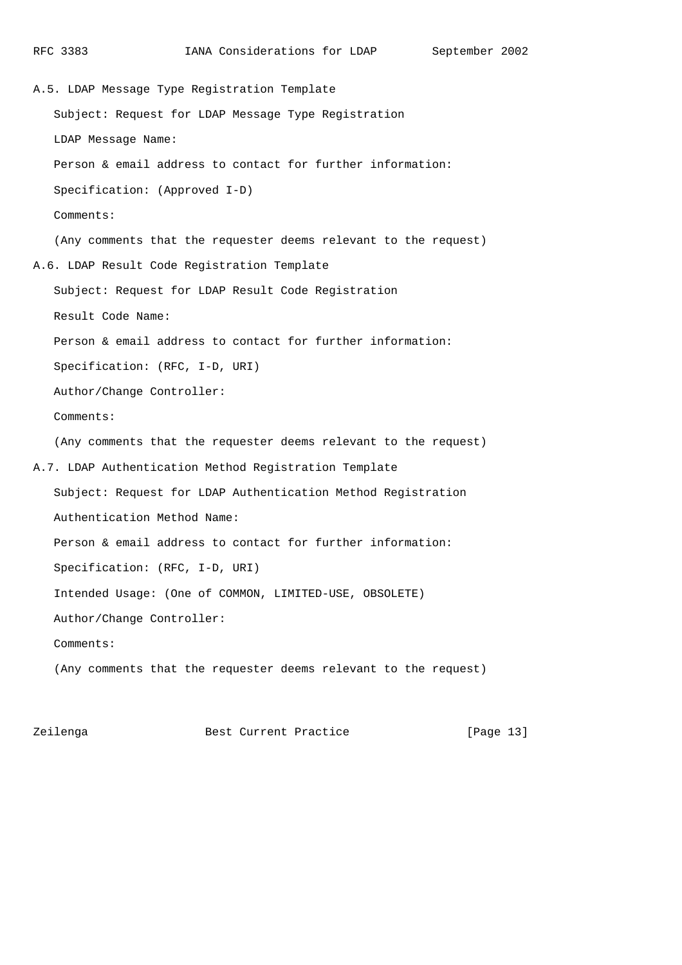A.5. LDAP Message Type Registration Template Subject: Request for LDAP Message Type Registration LDAP Message Name: Person & email address to contact for further information: Specification: (Approved I-D) Comments: (Any comments that the requester deems relevant to the request) A.6. LDAP Result Code Registration Template Subject: Request for LDAP Result Code Registration Result Code Name: Person & email address to contact for further information: Specification: (RFC, I-D, URI) Author/Change Controller: Comments: (Any comments that the requester deems relevant to the request) A.7. LDAP Authentication Method Registration Template Subject: Request for LDAP Authentication Method Registration Authentication Method Name: Person & email address to contact for further information: Specification: (RFC, I-D, URI) Intended Usage: (One of COMMON, LIMITED-USE, OBSOLETE) Author/Change Controller: Comments: (Any comments that the requester deems relevant to the request)

Zeilenga **Best Current Practice** [Page 13]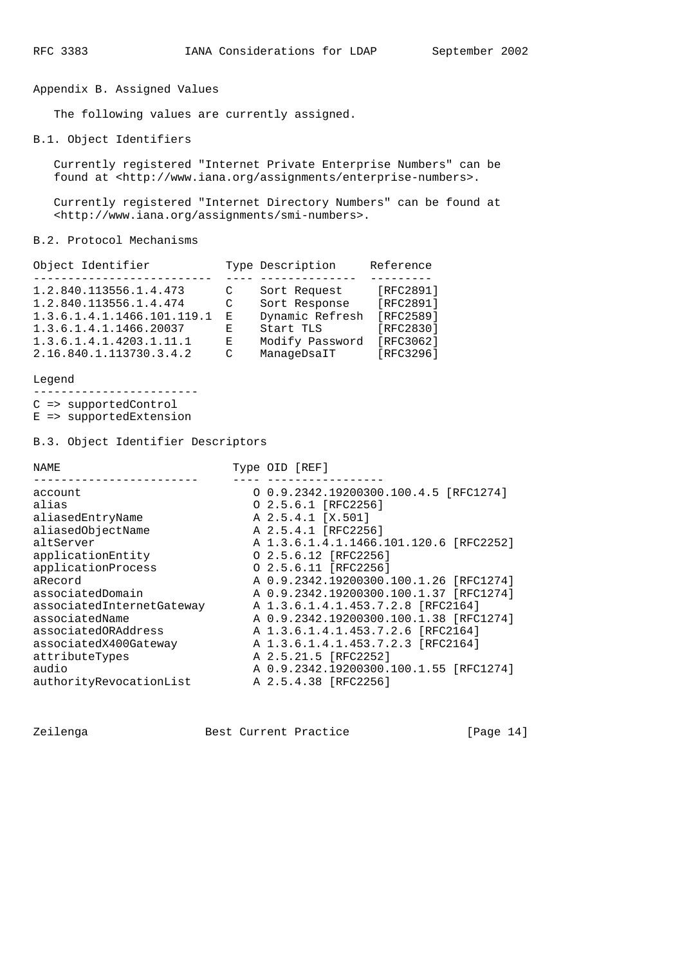Appendix B. Assigned Values

The following values are currently assigned.

B.1. Object Identifiers

 Currently registered "Internet Private Enterprise Numbers" can be found at <http://www.iana.org/assignments/enterprise-numbers>.

 Currently registered "Internet Directory Numbers" can be found at <http://www.iana.org/assignments/smi-numbers>.

B.2. Protocol Mechanisms

| Object Identifier          |   | Type Description | Reference |
|----------------------------|---|------------------|-----------|
|                            |   |                  |           |
| 1.2.840.113556.1.4.473     | C | Sort Request     | [RFC2891] |
| 1.2.840.113556.1.4.474     | C | Sort Response    | [RFC2891] |
| 1.3.6.1.4.1.1466.101.119.1 | E | Dynamic Refresh  | [RFC2589] |
| 1.3.6.1.4.1.1466.20037     | Е | Start TLS        | [RFC2830] |
| 1.3.6.1.4.1.4203.1.11.1    | Е | Modify Password  | [RFC3062] |
| 2.16.840.1.113730.3.4.2    | C | ManageDsaIT      | [RFC3296] |

Legend

------------------------

C => supportedControl

E => supportedExtension

B.3. Object Identifier Descriptors

| NAME                      | Type OID [REF]                         |
|---------------------------|----------------------------------------|
| account                   | 0 0.9.2342.19200300.100.4.5 [RFC1274]  |
| alias                     | $0\ 2.5.6.1$ [RFC2256]                 |
| aliasedEntryName          | A 2.5.4.1 [X.501]                      |
| aliasedObjectName         | A 2.5.4.1 [RFC2256]                    |
| altServer                 | A 1.3.6.1.4.1.1466.101.120.6 [RFC2252] |
| applicationEntity         | 0 2.5.6.12 [RFC2256]                   |
| applicationProcess        | 0 2.5.6.11 [RFC2256]                   |
| aRecord                   | A 0.9.2342.19200300.100.1.26 [RFC1274] |
| associatedDomain          | A 0.9.2342.19200300.100.1.37 [RFC1274] |
| associatedInternetGateway | A 1.3.6.1.4.1.453.7.2.8 [RFC2164]      |
| associatedName            | A 0.9.2342.19200300.100.1.38 [RFC1274] |
| associatedORAddress       | A 1.3.6.1.4.1.453.7.2.6 [RFC2164]      |
| associatedX400Gateway     | A 1.3.6.1.4.1.453.7.2.3 [RFC2164]      |
| attributeTypes            | A 2.5.21.5 [RFC2252]                   |
| audio                     | A 0.9.2342.19200300.100.1.55 [RFC1274] |
| authorityRevocationList   | A 2.5.4.38 [RFC2256]                   |
|                           |                                        |

Zeilenga **Best Current Practice** [Page 14]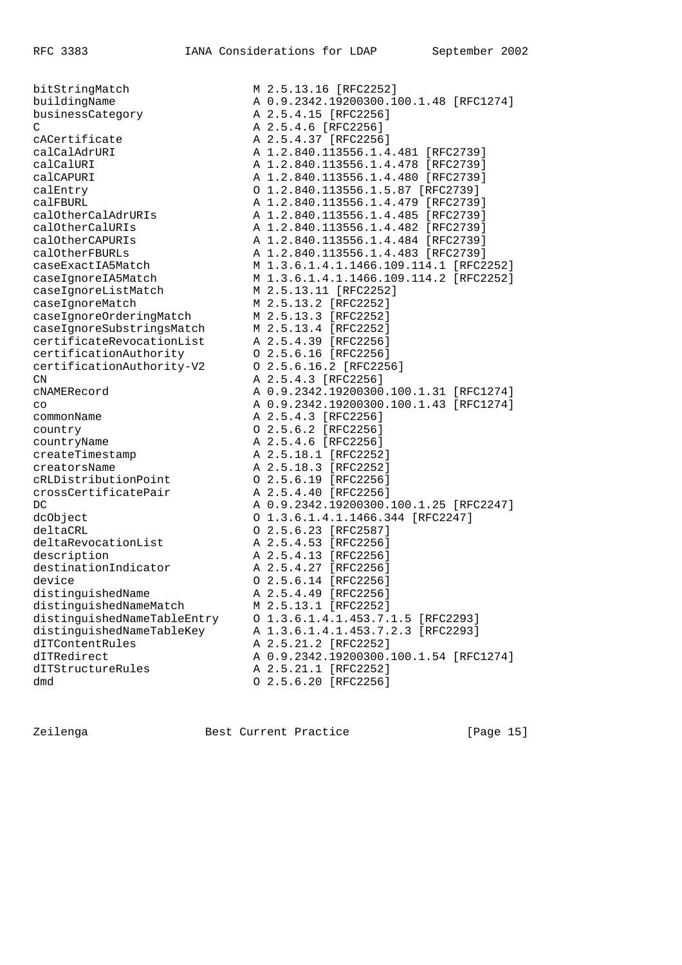businessCategory **A 2.5.4.15** [RFC2256]  $C$  A  $2.5.4.6$  [RFC2256] cACertificate **A 2.5.4.37** [RFC2256] caseIgnoreListMatch M 2.5.13.11 [RFC2252] caseIgnoreMatch M 2.5.13.2 [RFC2252] caseIgnoreOrderingMatch M 2.5.13.3 [RFC2252] caseIgnoreSubstringsMatch M 2.5.13.4 [RFC2252] certificateRevocationList A 2.5.4.39 [RFC2256] certificationAuthority O 2.5.6.16 [RFC2256] certificationAuthority-V2 O 2.5.6.16.2 [RFC2256] CN A 2.5.4.3 [RFC2256] commonName **A 2.5.4.3** [RFC2256] country O 2.5.6.2 [RFC2256] countryName **A 2.5.4.6** [RFC2256] createTimestamp A 2.5.18.1 [RFC2252] creatorsName  $A \quad 2.5.18.3$  [RFC2252] cRLDistributionPoint O 2.5.6.19 [RFC2256] crossCertificatePair A 2.5.4.40 [RFC2256] deltaCRL O 2.5.6.23 [RFC2587] deltaRevocationList A 2.5.4.53 [RFC2256] description **A** 2.5.4.13 [RFC2256] destinationIndicator A 2.5.4.27 [RFC2256] device O 2.5.6.14 [RFC2256] distinguishedName A 2.5.4.49 [RFC2256] distinguishedNameMatch M 2.5.13.1 [RFC2252] dITContentRules A 2.5.21.2 [RFC2252] dITStructureRules A 2.5.21.1 [RFC2252]

bitStringMatch M 2.5.13.16 [RFC2252] buildingName A 0.9.2342.19200300.100.1.48 [RFC1274] calCalAdrURI A 1.2.840.113556.1.4.481 [RFC2739] calCalURI A 1.2.840.113556.1.4.478 [RFC2739] calCAPURI A 1.2.840.113556.1.4.480 [RFC2739] calEntry O 1.2.840.113556.1.5.87 [RFC2739] calFBURL A 1.2.840.113556.1.4.479 [RFC2739] calOtherCalAdrURIs A 1.2.840.113556.1.4.485 [RFC2739] calOtherCalURIs A 1.2.840.113556.1.4.482 [RFC2739] calOtherCAPURIs A 1.2.840.113556.1.4.484 [RFC2739] calOtherFBURLs A 1.2.840.113556.1.4.483 [RFC2739] caseExactIA5Match M 1.3.6.1.4.1.1466.109.114.1 [RFC2252] caseIgnoreIA5Match M 1.3.6.1.4.1.1466.109.114.2 [RFC2252] cNAMERecord A 0.9.2342.19200300.100.1.31 [RFC1274] co A 0.9.2342.19200300.100.1.43 [RFC1274]<br>
A 2.5.4.3 [RFC2256] DC A 0.9.2342.19200300.100.1.25 [RFC2247] dcObject O 1.3.6.1.4.1.1466.344 [RFC2247] distinguishedNameTableEntry O 1.3.6.1.4.1.453.7.1.5 [RFC2293] distinguishedNameTableKey A 1.3.6.1.4.1.453.7.2.3 [RFC2293] dITRedirect A 0.9.2342.19200300.100.1.54 [RFC1274] dmd 0 2.5.6.20 [RFC2256]

Zeilenga **Best Current Practice** [Page 15]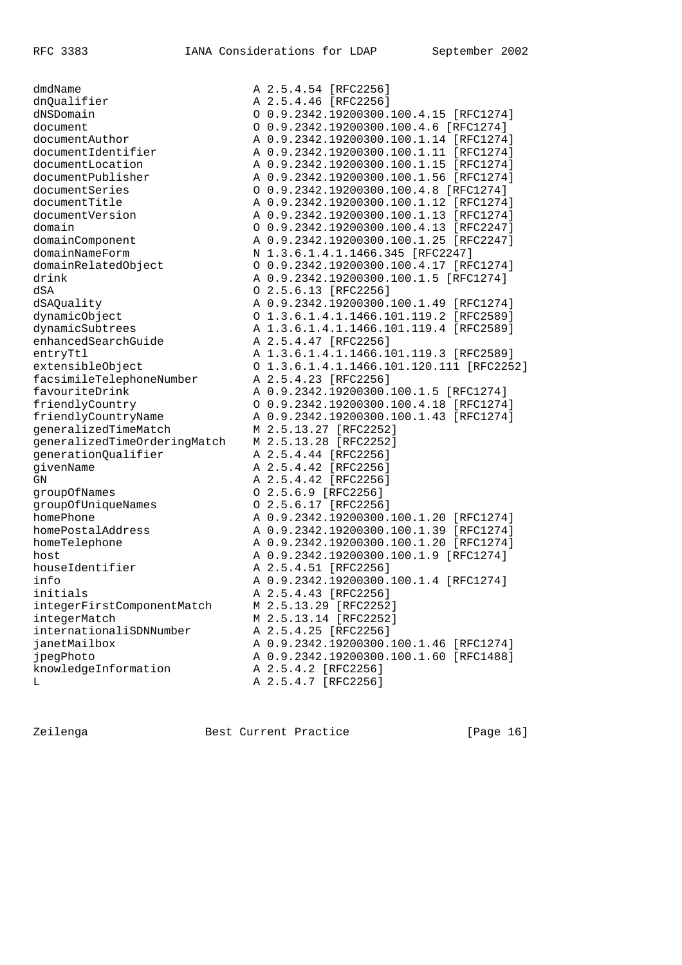dmdName A 2.5.4.54 [RFC2256] dnQualifier A 2.5.4.46 [RFC2256] dSA O 2.5.6.13 [RFC2256] enhancedSearchGuide A 2.5.4.47 [RFC2256] facsimileTelephoneNumber A 2.5.4.23 [RFC2256] generalizedTimeMatch M 2.5.13.27 [RFC2252] generalizedTimeOrderingMatch M 2.5.13.28 [RFC2252] generationQualifier The A 2.5.4.44 [RFC2256] givenName **A** 2.5.4.42 [RFC2256] GN A 2.5.4.42 [RFC2256] groupOfNames O 2.5.6.9 [RFC2256] groupOfUniqueNames O 2.5.6.17 [RFC2256] houseIdentifier a man A 2.5.4.51 [RFC2256] initials **A 2.5.4.43** [RFC2256] integerFirstComponentMatch M 2.5.13.29 [RFC2252] integerMatch M 2.5.13.14 [RFC2252] internationaliSDNNumber A 2.5.4.25 [RFC2256] knowledgeInformation A 2.5.4.2 [RFC2256]

dNSDomain O 0.9.2342.19200300.100.4.15 [RFC1274] document O 0.9.2342.19200300.100.4.6 [RFC1274] documentAuthor A 0.9.2342.19200300.100.1.14 [RFC1274] documentIdentifier A 0.9.2342.19200300.100.1.11 [RFC1274] documentLocation A 0.9.2342.19200300.100.1.15 [RFC1274] documentPublisher A 0.9.2342.19200300.100.1.56 [RFC1274] documentSeries O 0.9.2342.19200300.100.4.8 [RFC1274] documentTitle A 0.9.2342.19200300.100.1.12 [RFC1274] documentVersion A 0.9.2342.19200300.100.1.13 [RFC1274] domain O 0.9.2342.19200300.100.4.13 [RFC2247] domainComponent A 0.9.2342.19200300.100.1.25 [RFC2247] domainNameForm N 1.3.6.1.4.1.1466.345 [RFC2247] domainRelatedObject O 0.9.2342.19200300.100.4.17 [RFC1274] drink A 0.9.2342.19200300.100.1.5 [RFC1274] dSAQuality A 0.9.2342.19200300.100.1.49 [RFC1274] dynamicObject O 1.3.6.1.4.1.1466.101.119.2 [RFC2589] dynamicSubtrees A 1.3.6.1.4.1.1466.101.119.4 [RFC2589] entryTtl A 1.3.6.1.4.1.1466.101.119.3 [RFC2589] extensibleObject O 1.3.6.1.4.1.1466.101.120.111 [RFC2252] favouriteDrink A 0.9.2342.19200300.100.1.5 [RFC1274] friendlyCountry O 0.9.2342.19200300.100.4.18 [RFC1274] friendlyCountryName A 0.9.2342.19200300.100.1.43 [RFC1274] homePhone A 0.9.2342.19200300.100.1.20 [RFC1274] homePostalAddress A 0.9.2342.19200300.100.1.39 [RFC1274] homeTelephone A 0.9.2342.19200300.100.1.20 [RFC1274] host A 0.9.2342.19200300.100.1.9 [RFC1274] info A 0.9.2342.19200300.100.1.4 [RFC1274] janetMailbox A 0.9.2342.19200300.100.1.46 [RFC1274] jpegPhoto A 0.9.2342.19200300.100.1.60 [RFC1488] L A 2.5.4.7 [RFC2256]

Zeilenga **Best Current Practice** [Page 16]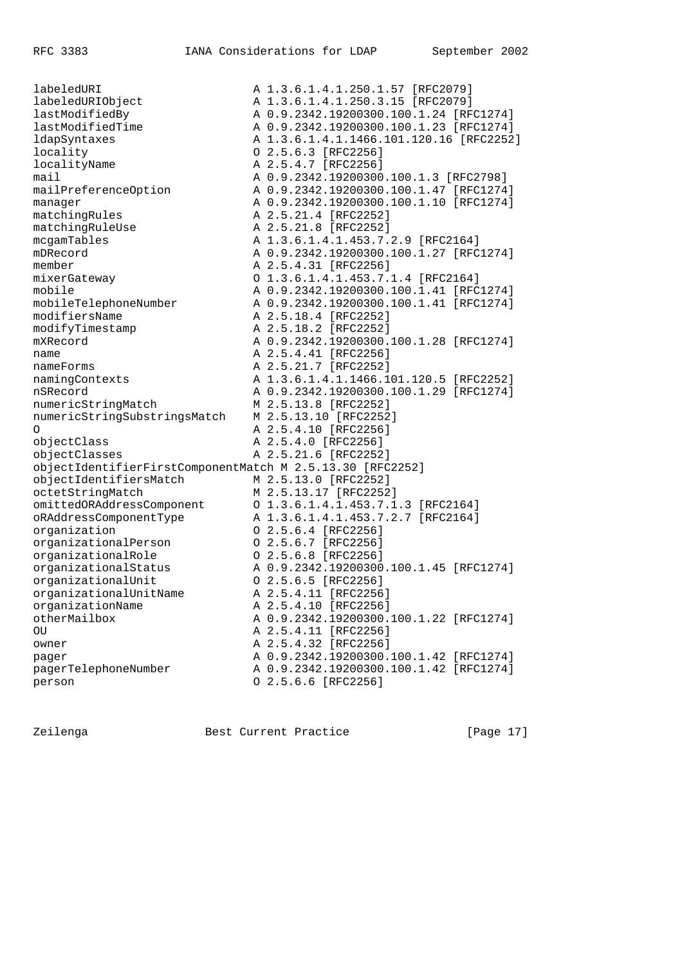labeledURI <br>
1.3.6.1.4.1.250.1.57 [RFC2079]<br>
A 1.3.6.1.4.1.250.3.15 [RFC2079] labeledURIObject<br>lastModifiedBy<br>lastModifiedTime lastModifiedBy A 0.9.2342.19200300.100.1.24 [RFC1274] A 0.9.2342.19200300.100.1.23 [RFC1274] ldapSyntaxes A 1.3.6.1.4.1.1466.101.120.16 [RFC2252] locality O 2.5.6.3 [RFC2256] localityName <br>A 2.5.4.7 [RFC2256] mail A 0.9.2342.19200300.100.1.3 [RFC2798] mailPreferenceOption A 0.9.2342.19200300.100.1.47 [RFC1274] manager **A 0.9.2342.19200300.100.1.10** [RFC1274] matchingRules A 2.5.21.4 [RFC2252] matchingRuleUse A 2.5.21.8 [RFC2252] mcgamTables A 1.3.6.1.4.1.453.7.2.9 [RFC2164] mDRecord A 0.9.2342.19200300.100.1.27 [RFC1274] member <br>
mixerGateway <br>  $0$  1.3.6.1.4.1.453.7. mixerGateway O 1.3.6.1.4.1.453.7.1.4 [RFC2164] mobile A 0.9.2342.19200300.100.1.41 [RFC1274] mobileTelephoneNumber A 0.9.2342.19200300.100.1.41 [RFC1274] modifiersName A 2.5.18.4 [RFC2252] modifyTimestamp  $A 2.5.18.2$  [RFC2252] mXRecord A 0.9.2342.19200300.100.1.28 [RFC1274] name **A** 2.5.4.41 [RFC2256] nameForms <br>A 2.5.21.7 [RFC2252] namingContexts <br>A 1.3.6.1.4.1.1466.101.120.5 [RFC2252] A 0.9.2342.19200300.100.1.29 [RFC1274] A 0.9.2342.19200300.<br>
M 2.5.13.8 [RFC2252]<br>
numericStringSubstring M 2.5.13.8 [RFC2252] numericStringSubstringsMatch M 2.5.13.10 [RFC2252] O A 2.5.4.10 [RFC2256] objectClass A 2.5.4.0 [RFC2256] objectClasses A 2.5.21.6 [RFC2252] objectIdentifierFirstComponentMatch M 2.5.13.30 [RFC2252] objectIdentifiersMatch M 2.5.13.0 [RFC2252] octetStringMatch M 2.5.13.17 [RFC2252] omittedORAddressComponent O 1.3.6.1.4.1.453.7.1.3 [RFC2164] oRAddressComponentType A 1.3.6.1.4.1.453.7.2.7 [RFC2164] organization O 2.5.6.4 [RFC2256] organizationalPerson O 2.5.6.7 [RFC2256] organizationalRole O 2.5.6.8 [RFC2256] organizationalStatus A 0.9.2342.19200300.100.1.45 [RFC1274] organizationalUnit O 2.5.6.5 [RFC2256] organizationalUnitName A 2.5.4.11 [RFC2256] organizationName A 2.5.4.10 [RFC2256] otherMailbox A 0.9.2342.19200300.100.1.22 [RFC1274] OU A 2.5.4.11 [RFC2256] owner **A 2.5.4.32** [RFC2256] pager A 0.9.2342.19200300.100.1.42 [RFC1274] pagerTelephoneNumber A 0.9.2342.19200300.100.1.42 [RFC1274] person O 2.5.6.6 [RFC2256]

Zeilenga **Best Current Practice** [Page 17]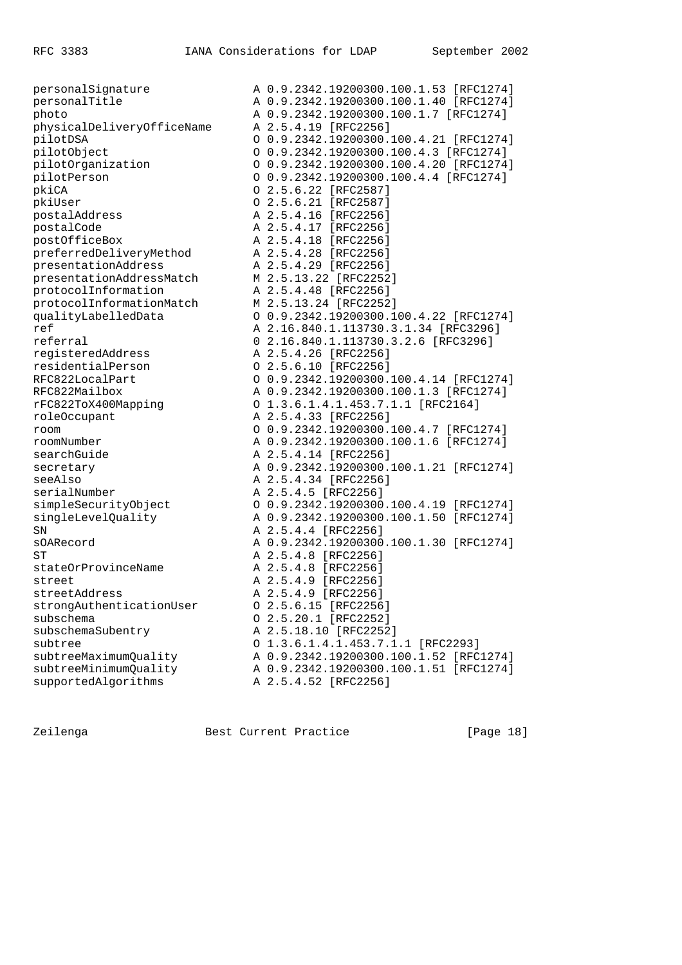| personalSignature          | A 0.9.2342.19200300.100.1.53 [RFC1274] |
|----------------------------|----------------------------------------|
| personalTitle              | A 0.9.2342.19200300.100.1.40 [RFC1274] |
| photo                      | A 0.9.2342.19200300.100.1.7 [RFC1274]  |
| physicalDeliveryOfficeName | A 2.5.4.19 [RFC2256]                   |
| pilotDSA                   | 0 0.9.2342.19200300.100.4.21 [RFC1274] |
| pilotObject                | 0 0.9.2342.19200300.100.4.3 [RFC1274]  |
| pilotOrganization          | 0 0.9.2342.19200300.100.4.20 [RFC1274] |
| pilotPerson                | 0 0.9.2342.19200300.100.4.4 [RFC1274]  |
| pkiCA                      | $0$ 2.5.6.22 [RFC2587]                 |
| pkiUser                    | 0 2.5.6.21 [RFC2587]                   |
| postalAddress              | A 2.5.4.16 [RFC2256]                   |
| postalCode                 | A 2.5.4.17 [RFC2256]                   |
| postOfficeBox              | A 2.5.4.18 [RFC2256]                   |
| preferredDeliveryMethod    | A 2.5.4.28 [RFC2256]                   |
| presentationAddress        | A 2.5.4.29 [RFC2256]                   |
| presentationAddressMatch   | M 2.5.13.22 [RFC2252]                  |
| protocolInformation        | A 2.5.4.48 [RFC2256]                   |
| protocolInformationMatch   | M 2.5.13.24 [RFC2252]                  |
| qualityLabelledData        | 0 0.9.2342.19200300.100.4.22 [RFC1274] |
| ref                        | A 2.16.840.1.113730.3.1.34 [RFC3296]   |
| referral                   | 0 2.16.840.1.113730.3.2.6 [RFC3296]    |
| registeredAddress          | A 2.5.4.26 [RFC2256]                   |
| residentialPerson          | 0 2.5.6.10 [RFC2256]                   |
| RFC822LocalPart            | 0 0.9.2342.19200300.100.4.14 [RFC1274] |
| RFC822Mailbox              | A 0.9.2342.19200300.100.1.3 [RFC1274]  |
| rFC822ToX400Mapping        | 0 1.3.6.1.4.1.453.7.1.1 [RFC2164]      |
| roleOccupant               | A 2.5.4.33 [RFC2256]                   |
| room                       | 0 0.9.2342.19200300.100.4.7 [RFC1274]  |
| roomNumber                 | A 0.9.2342.19200300.100.1.6 [RFC1274]  |
| searchGuide                | A 2.5.4.14 [RFC2256]                   |
| secretary                  | A 0.9.2342.19200300.100.1.21 [RFC1274] |
| seeAlso                    | A 2.5.4.34 [RFC2256]                   |
| serialNumber               | A 2.5.4.5 [RFC2256]                    |
| simpleSecurityObject       | 0 0.9.2342.19200300.100.4.19 [RFC1274] |
| singleLevelQuality         | A 0.9.2342.19200300.100.1.50 [RFC1274] |
| SN                         | A 2.5.4.4 [RFC2256]                    |
| sOARecord                  | A 0.9.2342.19200300.100.1.30 [RFC1274] |
| ${\rm ST}$                 | A 2.5.4.8 [RFC2256]                    |
| stateOrProvinceName        | A 2.5.4.8 [RFC2256]                    |
| street                     | A 2.5.4.9 [RFC2256]                    |
| streetAddress              | A 2.5.4.9 [RFC2256]                    |
| strongAuthenticationUser   | 0 2.5.6.15 [RFC2256]                   |
| subschema                  | 0 2.5.20.1 [RFC2252]                   |
| subschemaSubentry          | A 2.5.18.10 [RFC2252]                  |
| subtree                    | 0 1.3.6.1.4.1.453.7.1.1 [RFC2293]      |
| subtreeMaximumQuality      | A 0.9.2342.19200300.100.1.52 [RFC1274] |
| subtreeMinimumQuality      | A 0.9.2342.19200300.100.1.51 [RFC1274] |
| supportedAlgorithms        | A 2.5.4.52 [RFC2256]                   |
|                            |                                        |

Zeilenga Best Current Practice [Page 18]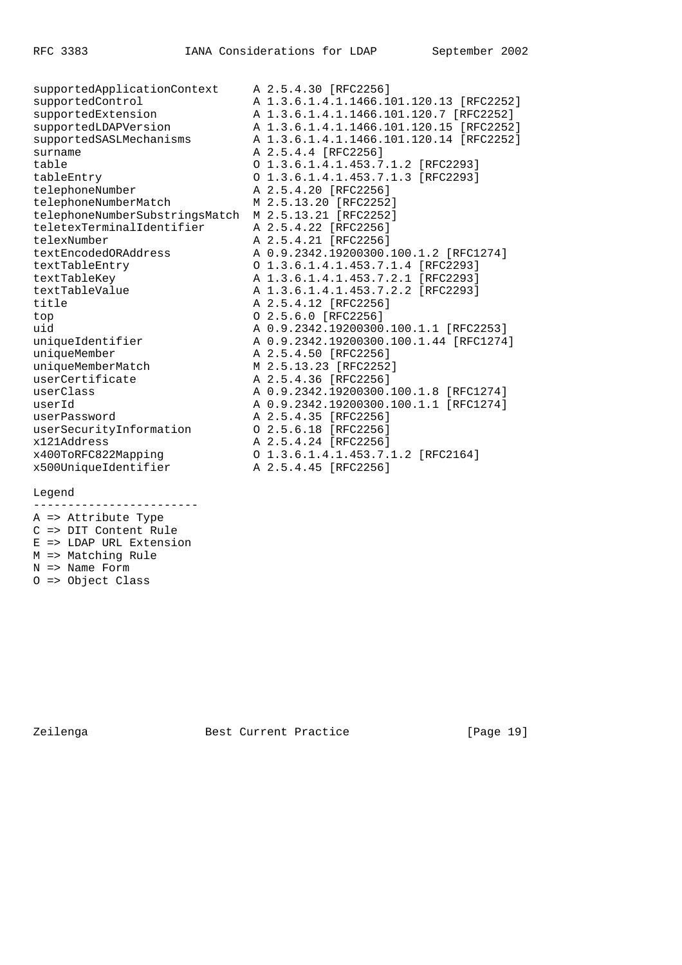supportedApplicationContext A 2.5.4.30 [RFC2256] supportedControl A 1.3.6.1.4.1.1466.101.120.13 [RFC2252] supportedExtension A 1.3.6.1.4.1.1466.101.120.7 [RFC2252] supportedLDAPVersion A 1.3.6.1.4.1.1466.101.120.15 [RFC2252] supportedSASLMechanisms A 1.3.6.1.4.1.1466.101.120.14 [RFC2252] surname A 2.5.4.4 [RFC2256] table O 1.3.6.1.4.1.453.7.1.2 [RFC2293] tableEntry O 1.3.6.1.4.1.453.7.1.3 [RFC2293] telephoneNumber A 2.5.4.20 [RFC2256] telephoneNumberMatch M 2.5.13.20 [RFC2252] telephoneNumberSubstringsMatch M 2.5.13.21 [RFC2252] teletexTerminalIdentifier A 2.5.4.22 [RFC2256] telexNumber A 2.5.4.21 [RFC2256] textEncodedORAddress A 0.9.2342.19200300.100.1.2 [RFC1274] textTableEntry O 1.3.6.1.4.1.453.7.1.4 [RFC2293] textTableKey A 1.3.6.1.4.1.453.7.2.1 [RFC2293] textTableValue A 1.3.6.1.4.1.453.7.2.2 [RFC2293] title **A** 2.5.4.12 [RFC2256] top 0 2.5.6.0 [RFC2256] uid A 0.9.2342.19200300.100.1.1 [RFC2253] uniqueIdentifier A 0.9.2342.19200300.100.1.44 [RFC1274] uniqueMember **A 2.5.4.50** [RFC2256] uniqueMemberMatch M 2.5.13.23 [RFC2252] userCertificate A 2.5.4.36 [RFC2256] userClass A 0.9.2342.19200300.100.1.8 [RFC1274] userId A 0.9.2342.19200300.100.1.1 [RFC1274] userPassword A 2.5.4.35 [RFC2256] userSecurityInformation 0 2.5.6.18 [RFC2256] x121Address A 2.5.4.24 [RFC2256] x400ToRFC822Mapping O 1.3.6.1.4.1.453.7.1.2 [RFC2164] x500UniqueIdentifier A 2.5.4.45 [RFC2256]

## Legend

------------------------ A => Attribute Type

- C => DIT Content Rule
- E => LDAP URL Extension
- M => Matching Rule
- N => Name Form
- O => Object Class

Zeilenga Best Current Practice [Page 19]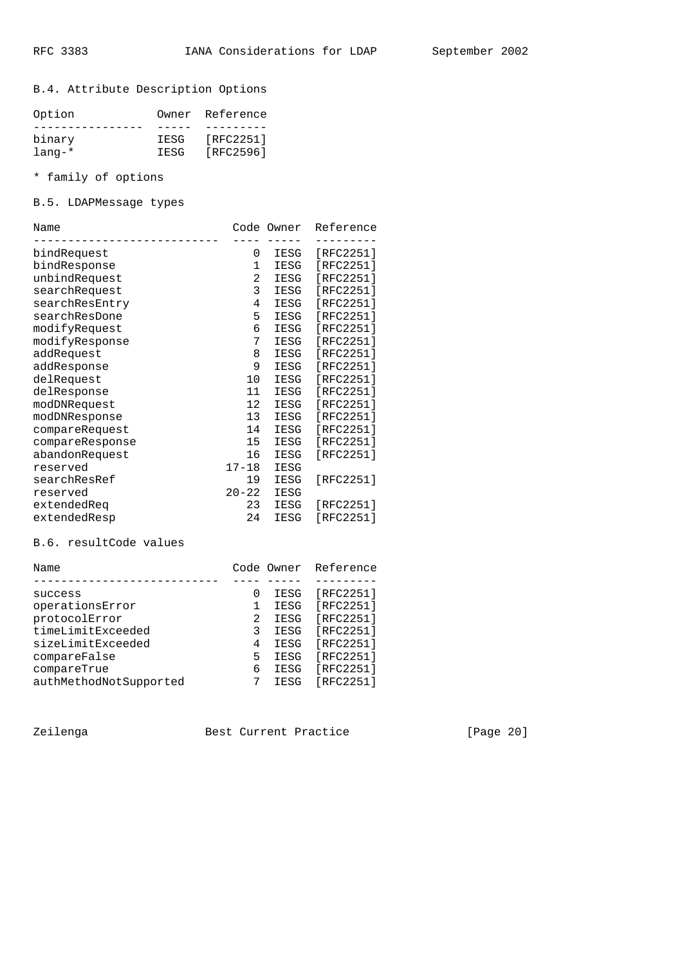B.4. Attribute Description Options

| Option       |       | Owner Reference |
|--------------|-------|-----------------|
|              |       |                 |
| binary       | IESG  | [RFC2251]       |
| $l$ ang- $*$ | TESG. | [RFC2596]       |

\* family of options

B.5. LDAPMessage types

| Name            |                | Code Owner  | Reference |
|-----------------|----------------|-------------|-----------|
| bindRequest     | 0              | IESG        | [RFC2251] |
| bindResponse    | $\mathbf 1$    | IESG        | [RFC2251] |
| unbindRequest   | $\overline{2}$ | IESG        | [RFC2251] |
| searchRequest   | 3              | IESG        | [RFC2251] |
| searchResEntry  | 4              | IESG        | [RFC2251] |
| searchResDone   | 5              | IESG        | [RFC2251] |
| modifyRequest   | 6              | IESG        | [RFC2251] |
| modifyResponse  | 7              | IESG        | [RFC2251] |
| addRequest      | 8              | IESG        | [RFC2251] |
| addResponse     | 9              | IESG        | [RFC2251] |
| delRequest      | 10             | IESG        | [RFC2251] |
| delResponse     | 11             | IESG        | [RFC2251] |
| modDNRequest    | 12             | IESG        | [RFC2251] |
| modDNResponse   | 13             | IESG        | [RFC2251] |
| compareRequest  | 14             | <b>IESG</b> | [RFC2251] |
| compareResponse | 15             | IESG        | [RFC2251] |
| abandonRequest  | 16             | IESG        | [RFC2251] |
| reserved        | $17 - 18$      | IESG        |           |
| searchResRef    | 19             | IESG        | [RFC2251] |
| reserved        | $20 - 22$      | IESG        |           |
| extendedReg     | 23             | IESG        | [RFC2251] |
| extendedResp    | 24             | IESG        | [RFC2251] |

# B.6. resultCode values

| Code Owner Reference |
|----------------------|
|                      |
| [RFC2251]            |
| [RFC2251]            |
| [RFC2251]            |
| [RFC2251]            |
| [RFC2251]            |
| [RFC2251]            |
| [RFC2251]            |
| [RFC2251]            |
|                      |

Zeilenga Best Current Practice [Page 20]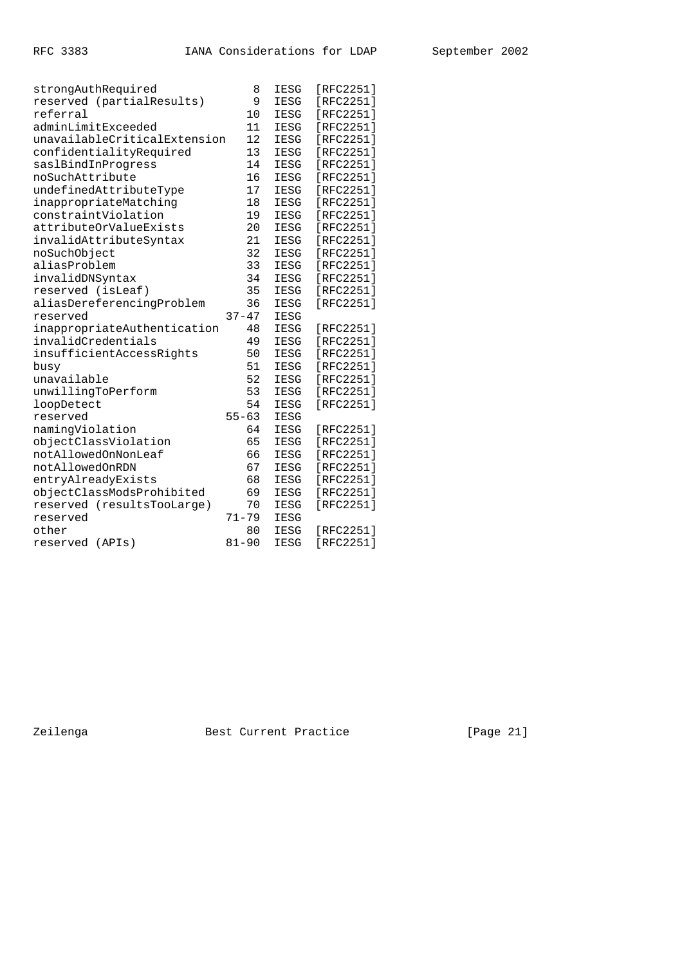| strongAuthRequired           | 8         | <b>IESG</b> | [RFC2251]     |
|------------------------------|-----------|-------------|---------------|
| reserved (partialResults)    | 9         | IESG        | [ $RFC2251$ ] |
| referral                     | 10        | IESG        | [ $RFC2251$ ] |
| adminLimitExceeded           | 11        | <b>IESG</b> | [RFC2251]     |
| unavailableCriticalExtension | 12        | IESG        | [RFC2251]     |
| confidentialityRequired      | 13        | <b>IESG</b> | [RFC2251]     |
| saslBindInProgress           | 14        | <b>IESG</b> | [RFC2251]     |
| noSuchAttribute              | 16        | IESG        | [RFC2251]     |
| undefinedAttributeType       | 17        | <b>IESG</b> | [RFC2251]     |
| inappropriateMatching        | 18        | IESG        | [RFC2251]     |
| constraintViolation          | 19        | IESG        | [RFC2251]     |
| attributeOrValueExists       | 20        | IESG        | [RFC2251]     |
| invalidAttributeSyntax       | 21        | IESG        | [RFC2251]     |
| noSuchObject                 | 32        | <b>IESG</b> | [RFC2251]     |
| aliasProblem                 | 33        | <b>IESG</b> | [RFC2251]     |
| invalidDNSyntax              | 34        | IESG        | [RFC2251]     |
| reserved (isLeaf)            | 35        | <b>IESG</b> | [RFC2251]     |
| aliasDereferencingProblem    | 36        | IESG        | [RFC2251]     |
| reserved                     | $37 - 47$ | IESG        |               |
| inappropriateAuthentication  | 48        | <b>IESG</b> | [RFC2251]     |
| invalidCredentials           | 49        | <b>IESG</b> | [RFC2251]     |
| insufficientAccessRights     | 50        | IESG        | [RFC2251]     |
| busy                         | 51        | IESG        | [RFC2251]     |
| unavailable                  | 52        | IESG        | [RFC2251]     |
| unwillingToPerform           | 53        | IESG        | [RFC2251]     |
| loopDetect                   | 54        | IESG        | [RFC2251]     |
| reserved                     | $55 - 63$ | <b>IESG</b> |               |
| namingViolation              | 64        | <b>IESG</b> | [RFC2251]     |
| objectClassViolation         | 65        | <b>IESG</b> | [ $RFC2251$ ] |
| notAllowedOnNonLeaf          | 66        | IESG        | [RFC2251]     |
| notAllowedOnRDN              | 67        | IESG        | [RFC2251]     |
| entryAlreadyExists           | 68        | IESG        | [ $RFC2251$ ] |
| objectClassModsProhibited    | 69        | IESG        | [ $RFC2251$ ] |
| reserved (resultsTooLarge)   | 70        | IESG        | [ $RFC2251$ ] |
| reserved                     | $71 - 79$ | <b>IESG</b> |               |
| other                        | 80        | <b>IESG</b> | [RFC2251]     |
| reserved<br>(APIs)           | $81 - 90$ | IESG        | [RFC2251]     |

Zeilenga Best Current Practice [Page 21]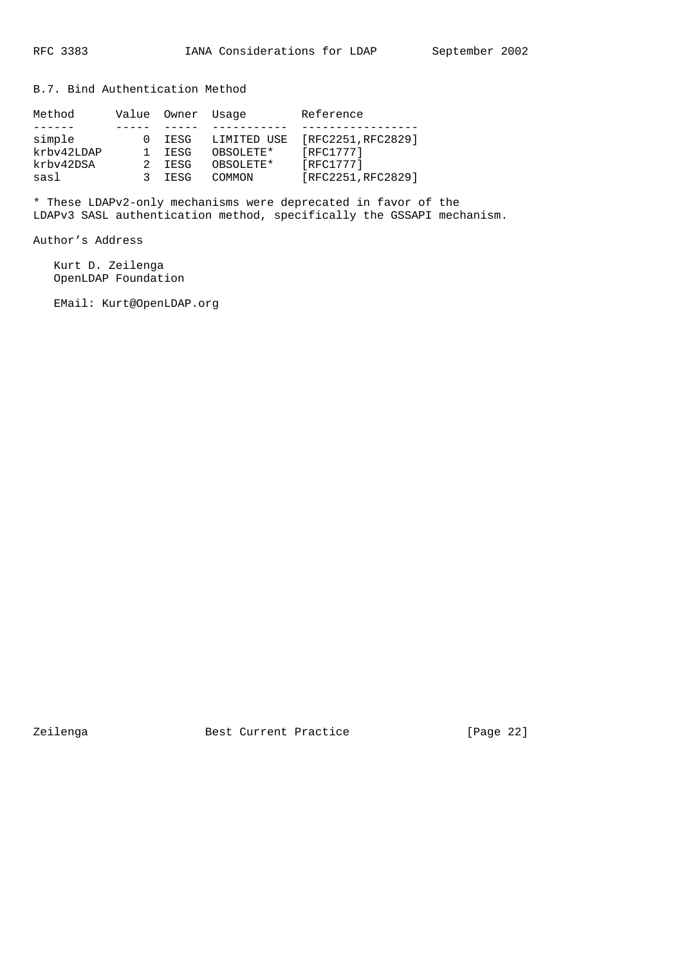B.7. Bind Authentication Method

| Method     | Value | Owner Usage |             | Reference          |
|------------|-------|-------------|-------------|--------------------|
|            |       |             |             |                    |
| simple     |       | IESG        | LIMITED USE | [RFC2251, RFC2829] |
| krbv42LDAP |       | <b>TESG</b> | OBSOLETE*   | [RFC1777]          |
| krbv42DSA  |       | TESG        | OBSOLETE*   | [RFC1777]          |
| sasl       |       | TESG        | COMMON      | [RFC2251, RFC2829] |

\* These LDAPv2-only mechanisms were deprecated in favor of the LDAPv3 SASL authentication method, specifically the GSSAPI mechanism.

Author's Address

 Kurt D. Zeilenga OpenLDAP Foundation

EMail: Kurt@OpenLDAP.org

Zeilenga Best Current Practice [Page 22]